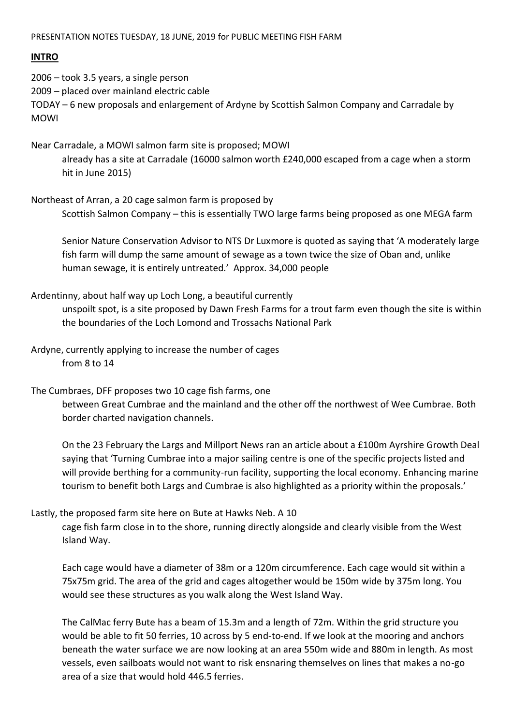#### PRESENTATION NOTES TUESDAY, 18 JUNE, 2019 for PUBLIC MEETING FISH FARM

### **INTRO**

2006 – took 3.5 years, a single person 2009 – placed over mainland electric cable TODAY – 6 new proposals and enlargement of Ardyne by Scottish Salmon Company and Carradale by MOWI

Near Carradale, a MOWI salmon farm site is proposed; MOWI already has a site at Carradale (16000 salmon worth £240,000 escaped from a cage when a storm hit in June 2015)

Northeast of Arran, a 20 cage salmon farm is proposed by Scottish Salmon Company – this is essentially TWO large farms being proposed as one MEGA farm

Senior Nature Conservation Advisor to NTS Dr Luxmore is quoted as saying that 'A moderately large fish farm will dump the same amount of sewage as a town twice the size of Oban and, unlike human sewage, it is entirely untreated.' Approx. 34,000 people

Ardentinny, about half way up Loch Long, a beautiful currently

unspoilt spot, is a site proposed by Dawn Fresh Farms for a trout farm even though the site is within the boundaries of the Loch Lomond and Trossachs National Park

- Ardyne, currently applying to increase the number of cages from 8 to 14
- The Cumbraes, DFF proposes two 10 cage fish farms, one

between Great Cumbrae and the mainland and the other off the northwest of Wee Cumbrae. Both border charted navigation channels.

On the 23 February the Largs and Millport News ran an article about a £100m Ayrshire Growth Deal saying that 'Turning Cumbrae into a major sailing centre is one of the specific projects listed and will provide berthing for a community-run facility, supporting the local economy. Enhancing marine tourism to benefit both Largs and Cumbrae is also highlighted as a priority within the proposals.'

Lastly, the proposed farm site here on Bute at Hawks Neb. A 10

cage fish farm close in to the shore, running directly alongside and clearly visible from the West Island Way.

Each cage would have a diameter of 38m or a 120m circumference. Each cage would sit within a 75x75m grid. The area of the grid and cages altogether would be 150m wide by 375m long. You would see these structures as you walk along the West Island Way.

The CalMac ferry Bute has a beam of 15.3m and a length of 72m. Within the grid structure you would be able to fit 50 ferries, 10 across by 5 end-to-end. If we look at the mooring and anchors beneath the water surface we are now looking at an area 550m wide and 880m in length. As most vessels, even sailboats would not want to risk ensnaring themselves on lines that makes a no-go area of a size that would hold 446.5 ferries.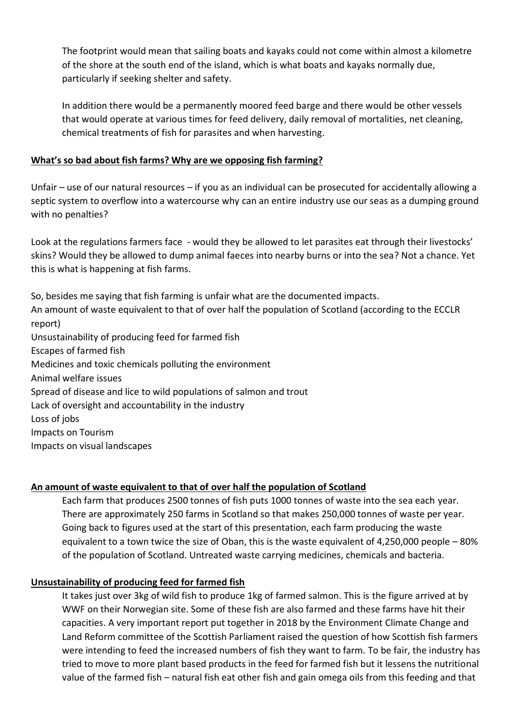The footprint would mean that sailing boats and kayaks could not come within almost a kilometre of the shore at the south end of the island, which is what boats and kayaks normally due, particularly if seeking shelter and safety.

In addition there would be a permanently moored feed barge and there would be other vessels that would operate at various times for feed delivery, daily removal of mortalities, net cleaning, chemical treatments of fish for parasites and when harvesting.

## **What's so bad about fish farms? Why are we opposing fish farming?**

Unfair – use of our natural resources – if you as an individual can be prosecuted for accidentally allowing a septic system to overflow into a watercourse why can an entire industry use our seas as a dumping ground with no penalties?

Look at the regulations farmers face - would they be allowed to let parasites eat through their livestocks' skins? Would they be allowed to dump animal faeces into nearby burns or into the sea? Not a chance. Yet this is what is happening at fish farms.

So, besides me saying that fish farming is unfair what are the documented impacts. An amount of waste equivalent to that of over half the population of Scotland (according to the ECCLR report) Unsustainability of producing feed for farmed fish Escapes of farmed fish Medicines and toxic chemicals polluting the environment Animal welfare issues Spread of disease and lice to wild populations of salmon and trout Lack of oversight and accountability in the industry Loss of jobs Impacts on Tourism Impacts on visual landscapes

## **An amount of waste equivalent to that of over half the population of Scotland**

Each farm that produces 2500 tonnes of fish puts 1000 tonnes of waste into the sea each year. There are approximately 250 farms in Scotland so that makes 250,000 tonnes of waste per year. Going back to figures used at the start of this presentation, each farm producing the waste equivalent to a town twice the size of Oban, this is the waste equivalent of 4,250,000 people – 80% of the population of Scotland. Untreated waste carrying medicines, chemicals and bacteria.

### **Unsustainability of producing feed for farmed fish**

It takes just over 3kg of wild fish to produce 1kg of farmed salmon. This is the figure arrived at by WWF on their Norwegian site. Some of these fish are also farmed and these farms have hit their capacities. A very important report put together in 2018 by the Environment Climate Change and Land Reform committee of the Scottish Parliament raised the question of how Scottish fish farmers were intending to feed the increased numbers of fish they want to farm. To be fair, the industry has tried to move to more plant based products in the feed for farmed fish but it lessens the nutritional value of the farmed fish – natural fish eat other fish and gain omega oils from this feeding and that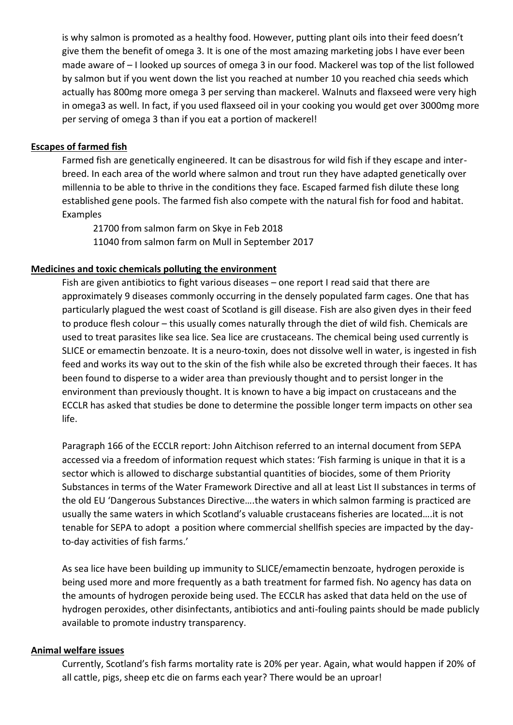is why salmon is promoted as a healthy food. However, putting plant oils into their feed doesn't give them the benefit of omega 3. It is one of the most amazing marketing jobs I have ever been made aware of – I looked up sources of omega 3 in our food. Mackerel was top of the list followed by salmon but if you went down the list you reached at number 10 you reached chia seeds which actually has 800mg more omega 3 per serving than mackerel. Walnuts and flaxseed were very high in omega3 as well. In fact, if you used flaxseed oil in your cooking you would get over 3000mg more per serving of omega 3 than if you eat a portion of mackerel!

### **Escapes of farmed fish**

Farmed fish are genetically engineered. It can be disastrous for wild fish if they escape and interbreed. In each area of the world where salmon and trout run they have adapted genetically over millennia to be able to thrive in the conditions they face. Escaped farmed fish dilute these long established gene pools. The farmed fish also compete with the natural fish for food and habitat. Examples

21700 from salmon farm on Skye in Feb 2018 11040 from salmon farm on Mull in September 2017

### **Medicines and toxic chemicals polluting the environment**

Fish are given antibiotics to fight various diseases – one report I read said that there are approximately 9 diseases commonly occurring in the densely populated farm cages. One that has particularly plagued the west coast of Scotland is gill disease. Fish are also given dyes in their feed to produce flesh colour – this usually comes naturally through the diet of wild fish. Chemicals are used to treat parasites like sea lice. Sea lice are crustaceans. The chemical being used currently is SLICE or emamectin benzoate. It is a neuro-toxin, does not dissolve well in water, is ingested in fish feed and works its way out to the skin of the fish while also be excreted through their faeces. It has been found to disperse to a wider area than previously thought and to persist longer in the environment than previously thought. It is known to have a big impact on crustaceans and the ECCLR has asked that studies be done to determine the possible longer term impacts on other sea life.

Paragraph 166 of the ECCLR report: John Aitchison referred to an internal document from SEPA accessed via a freedom of information request which states: 'Fish farming is unique in that it is a sector which is allowed to discharge substantial quantities of biocides, some of them Priority Substances in terms of the Water Framework Directive and all at least List II substances in terms of the old EU 'Dangerous Substances Directive….the waters in which salmon farming is practiced are usually the same waters in which Scotland's valuable crustaceans fisheries are located….it is not tenable for SEPA to adopt a position where commercial shellfish species are impacted by the dayto-day activities of fish farms.'

As sea lice have been building up immunity to SLICE/emamectin benzoate, hydrogen peroxide is being used more and more frequently as a bath treatment for farmed fish. No agency has data on the amounts of hydrogen peroxide being used. The ECCLR has asked that data held on the use of hydrogen peroxides, other disinfectants, antibiotics and anti-fouling paints should be made publicly available to promote industry transparency.

#### **Animal welfare issues**

Currently, Scotland's fish farms mortality rate is 20% per year. Again, what would happen if 20% of all cattle, pigs, sheep etc die on farms each year? There would be an uproar!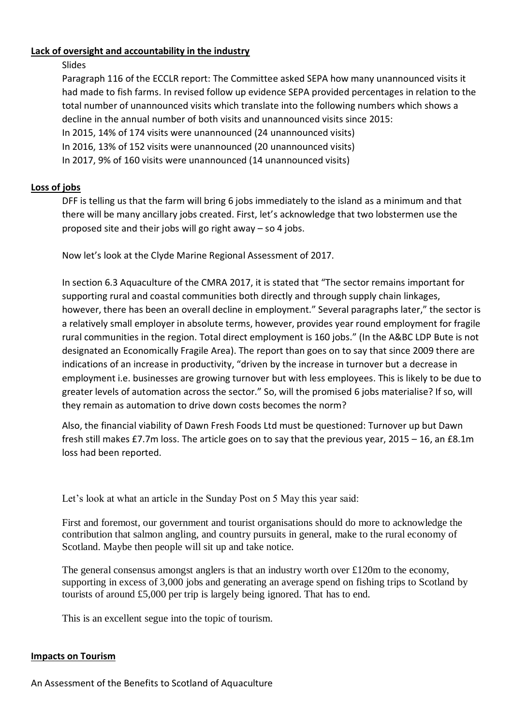## **Lack of oversight and accountability in the industry**

## Slides

Paragraph 116 of the ECCLR report: The Committee asked SEPA how many unannounced visits it had made to fish farms. In revised follow up evidence SEPA provided percentages in relation to the total number of unannounced visits which translate into the following numbers which shows a decline in the annual number of both visits and unannounced visits since 2015: In 2015, 14% of 174 visits were unannounced (24 unannounced visits) In 2016, 13% of 152 visits were unannounced (20 unannounced visits) In 2017, 9% of 160 visits were unannounced (14 unannounced visits)

# **Loss of jobs**

DFF is telling us that the farm will bring 6 jobs immediately to the island as a minimum and that there will be many ancillary jobs created. First, let's acknowledge that two lobstermen use the proposed site and their jobs will go right away – so 4 jobs.

Now let's look at the Clyde Marine Regional Assessment of 2017.

In section 6.3 Aquaculture of the CMRA 2017, it is stated that "The sector remains important for supporting rural and coastal communities both directly and through supply chain linkages, however, there has been an overall decline in employment." Several paragraphs later," the sector is a relatively small employer in absolute terms, however, provides year round employment for fragile rural communities in the region. Total direct employment is 160 jobs." (In the A&BC LDP Bute is not designated an Economically Fragile Area). The report than goes on to say that since 2009 there are indications of an increase in productivity, "driven by the increase in turnover but a decrease in employment i.e. businesses are growing turnover but with less employees. This is likely to be due to greater levels of automation across the sector." So, will the promised 6 jobs materialise? If so, will they remain as automation to drive down costs becomes the norm?

Also, the financial viability of Dawn Fresh Foods Ltd must be questioned: Turnover up but Dawn fresh still makes £7.7m loss. The article goes on to say that the previous year, 2015 – 16, an £8.1m loss had been reported.

Let's look at what an article in the Sunday Post on 5 May this year said:

First and foremost, our government and tourist organisations should do more to acknowledge the contribution that salmon angling, and country pursuits in general, make to the rural economy of Scotland. Maybe then people will sit up and take notice.

The general consensus amongst anglers is that an industry worth over  $\text{\pounds}120m$  to the economy, supporting in excess of 3,000 jobs and generating an average spend on fishing trips to Scotland by tourists of around £5,000 per trip is largely being ignored. That has to end.

This is an excellent segue into the topic of tourism.

## **Impacts on Tourism**

An Assessment of the Benefits to Scotland of Aquaculture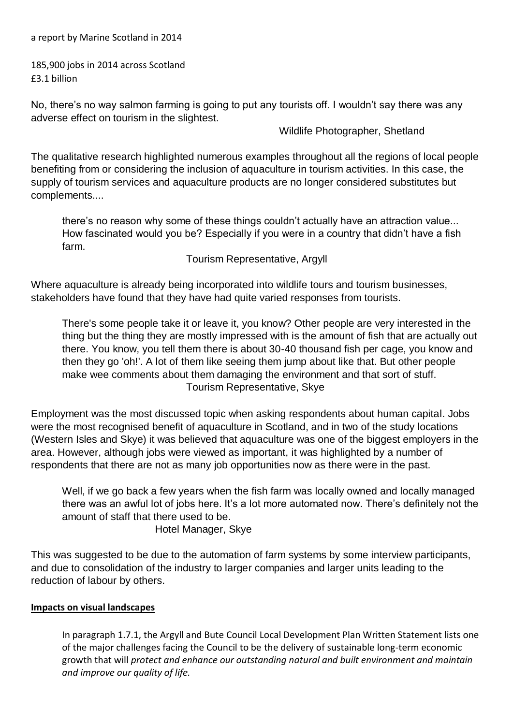a report by Marine Scotland in 2014

185,900 jobs in 2014 across Scotland £3.1 billion

No, there's no way salmon farming is going to put any tourists off. I wouldn't say there was any adverse effect on tourism in the slightest.

Wildlife Photographer, Shetland

The qualitative research highlighted numerous examples throughout all the regions of local people benefiting from or considering the inclusion of aquaculture in tourism activities. In this case, the supply of tourism services and aquaculture products are no longer considered substitutes but complements....

there's no reason why some of these things couldn't actually have an attraction value... How fascinated would you be? Especially if you were in a country that didn't have a fish farm.

Tourism Representative, Argyll

Where aquaculture is already being incorporated into wildlife tours and tourism businesses, stakeholders have found that they have had quite varied responses from tourists.

There's some people take it or leave it, you know? Other people are very interested in the thing but the thing they are mostly impressed with is the amount of fish that are actually out there. You know, you tell them there is about 30-40 thousand fish per cage, you know and then they go 'oh!'. A lot of them like seeing them jump about like that. But other people make wee comments about them damaging the environment and that sort of stuff. Tourism Representative, Skye

Employment was the most discussed topic when asking respondents about human capital. Jobs were the most recognised benefit of aquaculture in Scotland, and in two of the study locations (Western Isles and Skye) it was believed that aquaculture was one of the biggest employers in the area. However, although jobs were viewed as important, it was highlighted by a number of respondents that there are not as many job opportunities now as there were in the past.

Well, if we go back a few years when the fish farm was locally owned and locally managed there was an awful lot of jobs here. It's a lot more automated now. There's definitely not the amount of staff that there used to be.

Hotel Manager, Skye

This was suggested to be due to the automation of farm systems by some interview participants, and due to consolidation of the industry to larger companies and larger units leading to the reduction of labour by others.

### **Impacts on visual landscapes**

In paragraph 1.7.1, the Argyll and Bute Council Local Development Plan Written Statement lists one of the major challenges facing the Council to be the delivery of sustainable long-term economic growth that will *protect and enhance our outstanding natural and built environment and maintain and improve our quality of life.*